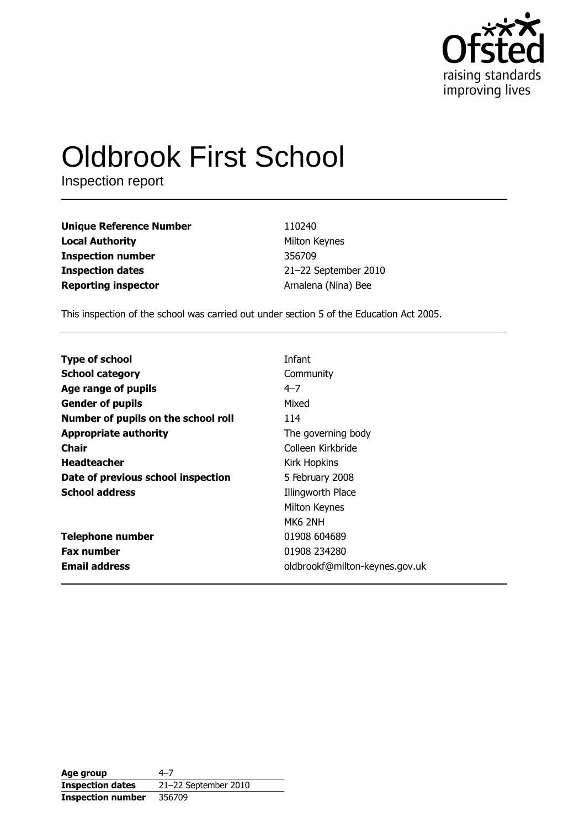

# **Oldbrook First School**

Inspection report

**Unique Reference Number Local Authority Inspection number Inspection dates Reporting inspector** 

110240 Milton Keynes 356709 21-22 September 2010 Arnalena (Nina) Bee

This inspection of the school was carried out under section 5 of the Education Act 2005.

| Infant                         |
|--------------------------------|
| Community                      |
| $4 - 7$                        |
| Mixed                          |
| 114                            |
| The governing body             |
| Colleen Kirkbride              |
| <b>Kirk Hopkins</b>            |
| 5 February 2008                |
| Illingworth Place              |
| Milton Keynes                  |
| MK6 2NH                        |
| 01908 604689                   |
| 01908 234280                   |
| oldbrookf@milton-keynes.gov.uk |
|                                |

| Age group                | 4–7                  |
|--------------------------|----------------------|
| <b>Inspection dates</b>  | 21-22 September 2010 |
| <b>Inspection number</b> | 356709               |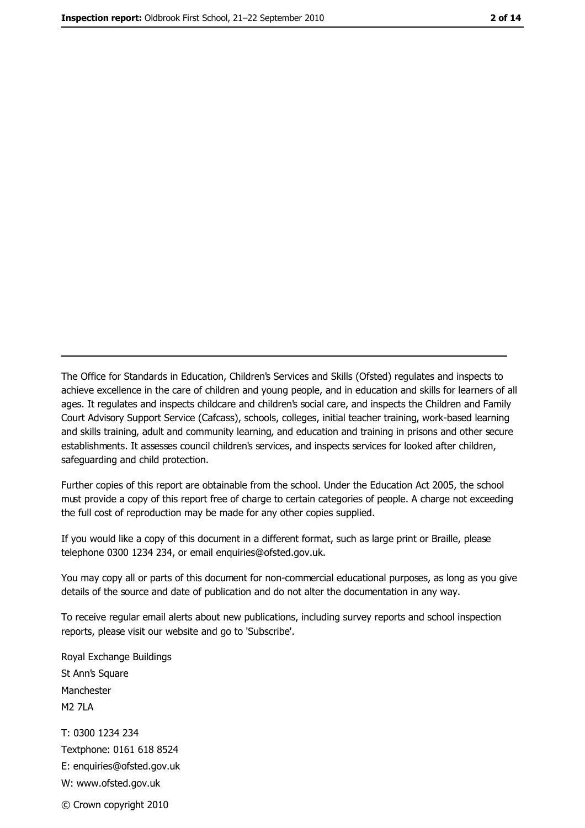The Office for Standards in Education, Children's Services and Skills (Ofsted) regulates and inspects to achieve excellence in the care of children and young people, and in education and skills for learners of all ages. It regulates and inspects childcare and children's social care, and inspects the Children and Family Court Advisory Support Service (Cafcass), schools, colleges, initial teacher training, work-based learning and skills training, adult and community learning, and education and training in prisons and other secure establishments. It assesses council children's services, and inspects services for looked after children, safeguarding and child protection.

Further copies of this report are obtainable from the school. Under the Education Act 2005, the school must provide a copy of this report free of charge to certain categories of people. A charge not exceeding the full cost of reproduction may be made for any other copies supplied.

If you would like a copy of this document in a different format, such as large print or Braille, please telephone 0300 1234 234, or email enquiries@ofsted.gov.uk.

You may copy all or parts of this document for non-commercial educational purposes, as long as you give details of the source and date of publication and do not alter the documentation in any way.

To receive regular email alerts about new publications, including survey reports and school inspection reports, please visit our website and go to 'Subscribe'.

Royal Exchange Buildings St Ann's Square Manchester **M2 7I A** T: 0300 1234 234 Textphone: 0161 618 8524 E: enquiries@ofsted.gov.uk W: www.ofsted.gov.uk © Crown copyright 2010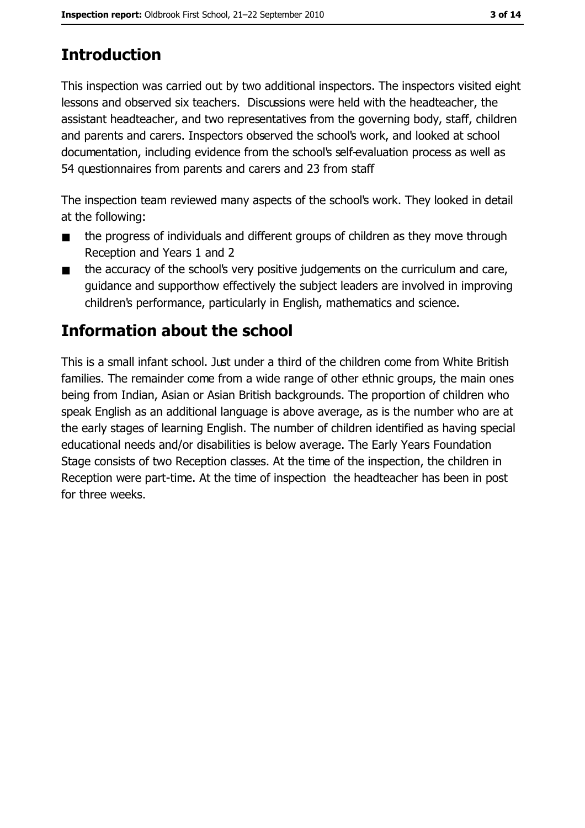# **Introduction**

This inspection was carried out by two additional inspectors. The inspectors visited eight lessons and observed six teachers. Discussions were held with the headteacher, the assistant headteacher, and two representatives from the governing body, staff, children and parents and carers. Inspectors observed the school's work, and looked at school documentation, including evidence from the school's self-evaluation process as well as 54 questionnaires from parents and carers and 23 from staff

The inspection team reviewed many aspects of the school's work. They looked in detail at the following:

- the progress of individuals and different groups of children as they move through  $\blacksquare$ Reception and Years 1 and 2
- the accuracy of the school's very positive judgements on the curriculum and care,  $\blacksquare$ quidance and supporthow effectively the subject leaders are involved in improving children's performance, particularly in English, mathematics and science.

# Information about the school

This is a small infant school. Just under a third of the children come from White British families. The remainder come from a wide range of other ethnic groups, the main ones being from Indian, Asian or Asian British backgrounds. The proportion of children who speak English as an additional language is above average, as is the number who are at the early stages of learning English. The number of children identified as having special educational needs and/or disabilities is below average. The Early Years Foundation Stage consists of two Reception classes. At the time of the inspection, the children in Reception were part-time. At the time of inspection the headteacher has been in post for three weeks.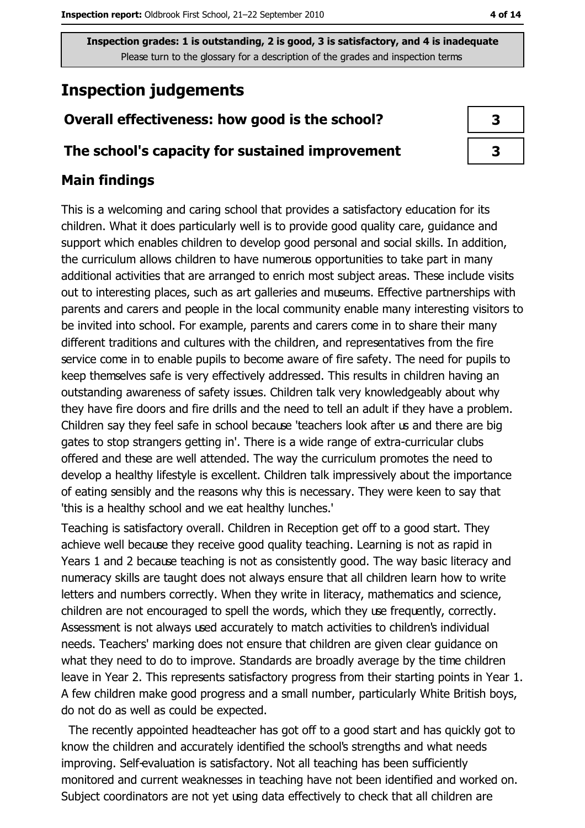# **Inspection judgements**

## Overall effectiveness: how good is the school?

#### The school's capacity for sustained improvement

## **Main findings**

This is a welcoming and caring school that provides a satisfactory education for its children. What it does particularly well is to provide good quality care, guidance and support which enables children to develop good personal and social skills. In addition, the curriculum allows children to have numerous opportunities to take part in many additional activities that are arranged to enrich most subject areas. These include visits out to interesting places, such as art galleries and museums. Effective partnerships with parents and carers and people in the local community enable many interesting visitors to be invited into school. For example, parents and carers come in to share their many different traditions and cultures with the children, and representatives from the fire service come in to enable pupils to become aware of fire safety. The need for pupils to keep themselves safe is very effectively addressed. This results in children having an outstanding awareness of safety issues. Children talk very knowledgeably about why they have fire doors and fire drills and the need to tell an adult if they have a problem. Children say they feel safe in school because 'teachers look after us and there are big gates to stop strangers getting in'. There is a wide range of extra-curricular clubs offered and these are well attended. The way the curriculum promotes the need to develop a healthy lifestyle is excellent. Children talk impressively about the importance of eating sensibly and the reasons why this is necessary. They were keen to say that 'this is a healthy school and we eat healthy lunches.'

Teaching is satisfactory overall. Children in Reception get off to a good start. They achieve well because they receive good quality teaching. Learning is not as rapid in Years 1 and 2 because teaching is not as consistently good. The way basic literacy and numeracy skills are taught does not always ensure that all children learn how to write letters and numbers correctly. When they write in literacy, mathematics and science, children are not encouraged to spell the words, which they use frequently, correctly. Assessment is not always used accurately to match activities to children's individual needs. Teachers' marking does not ensure that children are given clear guidance on what they need to do to improve. Standards are broadly average by the time children leave in Year 2. This represents satisfactory progress from their starting points in Year 1. A few children make good progress and a small number, particularly White British boys, do not do as well as could be expected.

The recently appointed headteacher has got off to a good start and has quickly got to know the children and accurately identified the school's strengths and what needs improving. Self-evaluation is satisfactory. Not all teaching has been sufficiently monitored and current weaknesses in teaching have not been identified and worked on. Subject coordinators are not yet using data effectively to check that all children are

| 3 |  |
|---|--|
| 3 |  |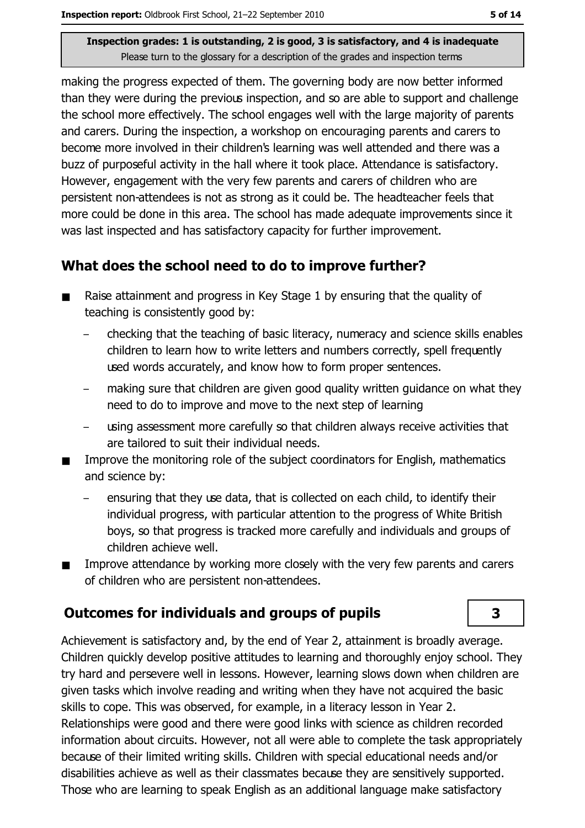making the progress expected of them. The governing body are now better informed than they were during the previous inspection, and so are able to support and challenge the school more effectively. The school engages well with the large majority of parents and carers. During the inspection, a workshop on encouraging parents and carers to become more involved in their children's learning was well attended and there was a buzz of purposeful activity in the hall where it took place. Attendance is satisfactory. However, engagement with the very few parents and carers of children who are persistent non-attendees is not as strong as it could be. The headteacher feels that more could be done in this area. The school has made adequate improvements since it was last inspected and has satisfactory capacity for further improvement.

## What does the school need to do to improve further?

- Raise attainment and progress in Key Stage 1 by ensuring that the quality of  $\blacksquare$ teaching is consistently good by:
	- checking that the teaching of basic literacy, numeracy and science skills enables children to learn how to write letters and numbers correctly, spell frequently used words accurately, and know how to form proper sentences.
	- making sure that children are given good quality written guidance on what they need to do to improve and move to the next step of learning
	- using assessment more carefully so that children always receive activities that are tailored to suit their individual needs.
- Improve the monitoring role of the subject coordinators for English, mathematics  $\blacksquare$ and science by:
	- ensuring that they use data, that is collected on each child, to identify their individual progress, with particular attention to the progress of White British boys, so that progress is tracked more carefully and individuals and groups of children achieve well.
- Improve attendance by working more closely with the very few parents and carers  $\blacksquare$ of children who are persistent non-attendees.

## **Outcomes for individuals and groups of pupils**

Achievement is satisfactory and, by the end of Year 2, attainment is broadly average. Children quickly develop positive attitudes to learning and thoroughly enjoy school. They try hard and persevere well in lessons. However, learning slows down when children are given tasks which involve reading and writing when they have not acquired the basic skills to cope. This was observed, for example, in a literacy lesson in Year 2. Relationships were good and there were good links with science as children recorded information about circuits. However, not all were able to complete the task appropriately because of their limited writing skills. Children with special educational needs and/or disabilities achieve as well as their classmates because they are sensitively supported. Those who are learning to speak English as an additional language make satisfactory

3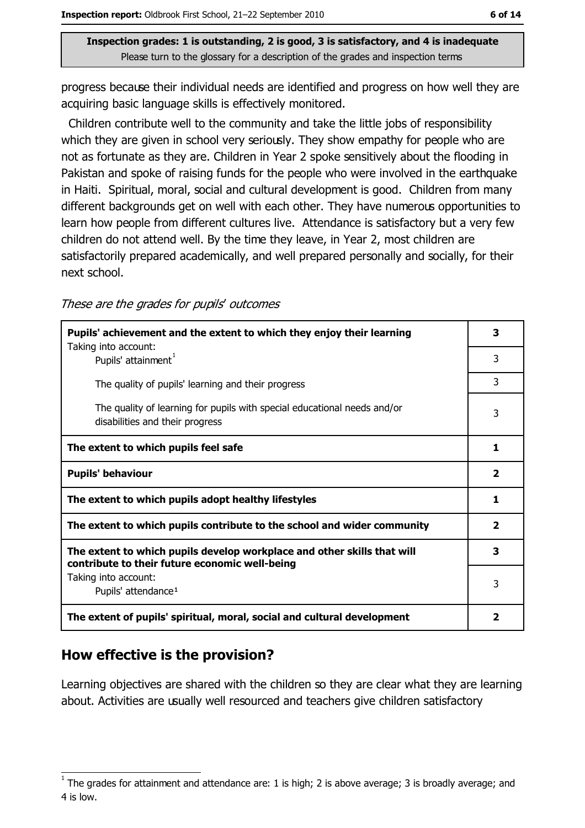progress because their individual needs are identified and progress on how well they are acquiring basic language skills is effectively monitored.

Children contribute well to the community and take the little jobs of responsibility which they are given in school very seriously. They show empathy for people who are not as fortunate as they are. Children in Year 2 spoke sensitively about the flooding in Pakistan and spoke of raising funds for the people who were involved in the earthquake in Haiti. Spiritual, moral, social and cultural development is good. Children from many different backgrounds get on well with each other. They have numerous opportunities to learn how people from different cultures live. Attendance is satisfactory but a very few children do not attend well. By the time they leave, in Year 2, most children are satisfactorily prepared academically, and well prepared personally and socially, for their next school.

| These are the grades for pupils' outcomes |  |  |  |
|-------------------------------------------|--|--|--|
|-------------------------------------------|--|--|--|

| Pupils' achievement and the extent to which they enjoy their learning                                                     | 3                       |
|---------------------------------------------------------------------------------------------------------------------------|-------------------------|
| Taking into account:<br>Pupils' attainment <sup>1</sup>                                                                   | 3                       |
| The quality of pupils' learning and their progress                                                                        | 3                       |
| The quality of learning for pupils with special educational needs and/or<br>disabilities and their progress               | 3                       |
| The extent to which pupils feel safe                                                                                      | 1                       |
| <b>Pupils' behaviour</b>                                                                                                  | $\overline{\mathbf{2}}$ |
| The extent to which pupils adopt healthy lifestyles                                                                       | 1                       |
| The extent to which pupils contribute to the school and wider community                                                   | $\overline{2}$          |
| The extent to which pupils develop workplace and other skills that will<br>contribute to their future economic well-being | 3                       |
| Taking into account:<br>Pupils' attendance <sup>1</sup>                                                                   | 3                       |
| The extent of pupils' spiritual, moral, social and cultural development                                                   | 2                       |

## How effective is the provision?

Learning objectives are shared with the children so they are clear what they are learning about. Activities are usually well resourced and teachers give children satisfactory

The grades for attainment and attendance are: 1 is high; 2 is above average; 3 is broadly average; and 4 is low.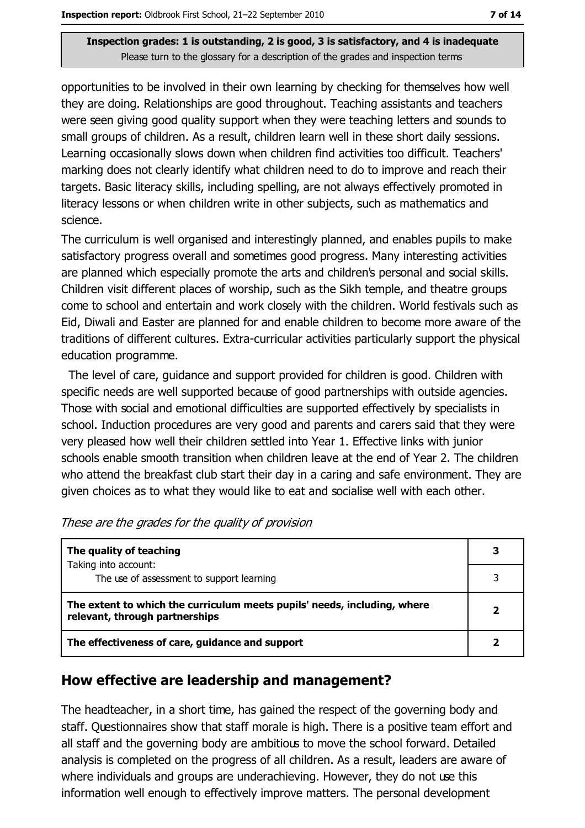opportunities to be involved in their own learning by checking for themselves how well they are doing. Relationships are good throughout. Teaching assistants and teachers were seen giving good quality support when they were teaching letters and sounds to small groups of children. As a result, children learn well in these short daily sessions. Learning occasionally slows down when children find activities too difficult. Teachers' marking does not clearly identify what children need to do to improve and reach their targets. Basic literacy skills, including spelling, are not always effectively promoted in literacy lessons or when children write in other subjects, such as mathematics and science.

The curriculum is well organised and interestingly planned, and enables pupils to make satisfactory progress overall and sometimes good progress. Many interesting activities are planned which especially promote the arts and children's personal and social skills. Children visit different places of worship, such as the Sikh temple, and theatre groups come to school and entertain and work closely with the children. World festivals such as Eid, Diwali and Easter are planned for and enable children to become more aware of the traditions of different cultures. Extra-curricular activities particularly support the physical education programme.

The level of care, quidance and support provided for children is good. Children with specific needs are well supported because of good partnerships with outside agencies. Those with social and emotional difficulties are supported effectively by specialists in school. Induction procedures are very good and parents and carers said that they were very pleased how well their children settled into Year 1. Effective links with junior schools enable smooth transition when children leave at the end of Year 2. The children who attend the breakfast club start their day in a caring and safe environment. They are given choices as to what they would like to eat and socialise well with each other.

| The quality of teaching                                                                                    | 3                       |
|------------------------------------------------------------------------------------------------------------|-------------------------|
| Taking into account:<br>The use of assessment to support learning                                          |                         |
| The extent to which the curriculum meets pupils' needs, including, where<br>relevant, through partnerships | $\overline{\mathbf{2}}$ |
| The effectiveness of care, guidance and support                                                            |                         |

These are the grades for the quality of provision

#### How effective are leadership and management?

The headteacher, in a short time, has gained the respect of the governing body and staff. Questionnaires show that staff morale is high. There is a positive team effort and all staff and the governing body are ambitious to move the school forward. Detailed analysis is completed on the progress of all children. As a result, leaders are aware of where individuals and groups are underachieving. However, they do not use this information well enough to effectively improve matters. The personal development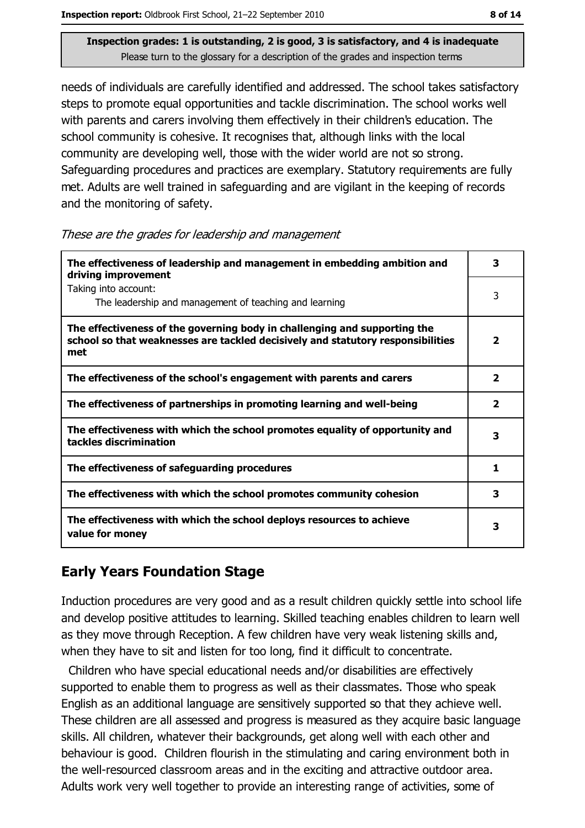needs of individuals are carefully identified and addressed. The school takes satisfactory steps to promote equal opportunities and tackle discrimination. The school works well with parents and carers involving them effectively in their children's education. The school community is cohesive. It recognises that, although links with the local community are developing well, those with the wider world are not so strong. Safeguarding procedures and practices are exemplary. Statutory requirements are fully met. Adults are well trained in safeguarding and are vigilant in the keeping of records and the monitoring of safety.

| The effectiveness of leadership and management in embedding ambition and<br>driving improvement                                                                     | 3                       |
|---------------------------------------------------------------------------------------------------------------------------------------------------------------------|-------------------------|
| Taking into account:<br>The leadership and management of teaching and learning                                                                                      | 3                       |
| The effectiveness of the governing body in challenging and supporting the<br>school so that weaknesses are tackled decisively and statutory responsibilities<br>met | $\overline{\mathbf{2}}$ |
| The effectiveness of the school's engagement with parents and carers                                                                                                | $\overline{\mathbf{2}}$ |
| The effectiveness of partnerships in promoting learning and well-being                                                                                              | 2                       |
| The effectiveness with which the school promotes equality of opportunity and<br>tackles discrimination                                                              | 3                       |
| The effectiveness of safeguarding procedures                                                                                                                        | 1                       |
| The effectiveness with which the school promotes community cohesion                                                                                                 | 3                       |
| The effectiveness with which the school deploys resources to achieve<br>value for money                                                                             | з                       |

#### These are the grades for leadership and management

## **Early Years Foundation Stage**

Induction procedures are very good and as a result children quickly settle into school life and develop positive attitudes to learning. Skilled teaching enables children to learn well as they move through Reception. A few children have very weak listening skills and, when they have to sit and listen for too long, find it difficult to concentrate.

Children who have special educational needs and/or disabilities are effectively supported to enable them to progress as well as their classmates. Those who speak English as an additional language are sensitively supported so that they achieve well. These children are all assessed and progress is measured as they acquire basic language skills. All children, whatever their backgrounds, get along well with each other and behaviour is good. Children flourish in the stimulating and caring environment both in the well-resourced classroom areas and in the exciting and attractive outdoor area. Adults work very well together to provide an interesting range of activities, some of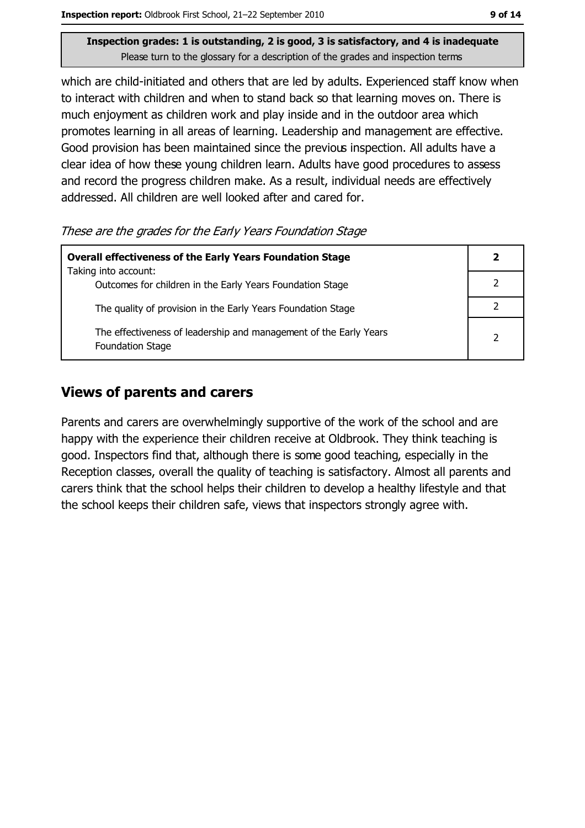which are child-initiated and others that are led by adults. Experienced staff know when to interact with children and when to stand back so that learning moves on. There is much enjoyment as children work and play inside and in the outdoor area which promotes learning in all areas of learning. Leadership and management are effective. Good provision has been maintained since the previous inspection. All adults have a clear idea of how these young children learn. Adults have good procedures to assess and record the progress children make. As a result, individual needs are effectively addressed. All children are well looked after and cared for.

These are the grades for the Early Years Foundation Stage

| <b>Overall effectiveness of the Early Years Foundation Stage</b>                             |  |
|----------------------------------------------------------------------------------------------|--|
| Taking into account:<br>Outcomes for children in the Early Years Foundation Stage            |  |
| The quality of provision in the Early Years Foundation Stage                                 |  |
| The effectiveness of leadership and management of the Early Years<br><b>Foundation Stage</b> |  |

## **Views of parents and carers**

Parents and carers are overwhelmingly supportive of the work of the school and are happy with the experience their children receive at Oldbrook. They think teaching is good. Inspectors find that, although there is some good teaching, especially in the Reception classes, overall the quality of teaching is satisfactory. Almost all parents and carers think that the school helps their children to develop a healthy lifestyle and that the school keeps their children safe, views that inspectors strongly agree with.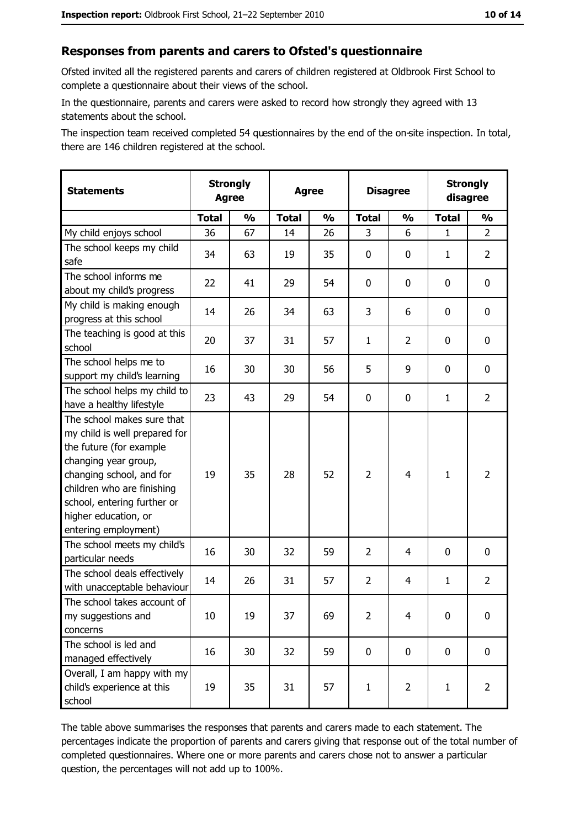## Responses from parents and carers to Ofsted's questionnaire

Ofsted invited all the registered parents and carers of children registered at Oldbrook First School to complete a questionnaire about their views of the school.

In the questionnaire, parents and carers were asked to record how strongly they agreed with 13 statements about the school.

The inspection team received completed 54 questionnaires by the end of the on-site inspection. In total, there are 146 children registered at the school.

| <b>Statements</b>                                                                                                                                                                                                                                       | <b>Strongly</b><br><b>Agree</b> |               | <b>Agree</b> |               | <b>Disagree</b> |                | <b>Strongly</b><br>disagree |                  |
|---------------------------------------------------------------------------------------------------------------------------------------------------------------------------------------------------------------------------------------------------------|---------------------------------|---------------|--------------|---------------|-----------------|----------------|-----------------------------|------------------|
|                                                                                                                                                                                                                                                         | <b>Total</b>                    | $\frac{1}{2}$ | <b>Total</b> | $\frac{0}{0}$ | <b>Total</b>    | $\frac{0}{0}$  | <b>Total</b>                | $\frac{1}{2}$    |
| My child enjoys school                                                                                                                                                                                                                                  | 36                              | 67            | 14           | 26            | 3               | 6              | 1                           | $\overline{2}$   |
| The school keeps my child<br>safe                                                                                                                                                                                                                       | 34                              | 63            | 19           | 35            | $\mathbf 0$     | 0              | 1                           | $\overline{2}$   |
| The school informs me<br>about my child's progress                                                                                                                                                                                                      | 22                              | 41            | 29           | 54            | $\mathbf 0$     | 0              | 0                           | 0                |
| My child is making enough<br>progress at this school                                                                                                                                                                                                    | 14                              | 26            | 34           | 63            | 3               | 6              | 0                           | 0                |
| The teaching is good at this<br>school                                                                                                                                                                                                                  | 20                              | 37            | 31           | 57            | $\mathbf{1}$    | $\overline{2}$ | 0                           | 0                |
| The school helps me to<br>support my child's learning                                                                                                                                                                                                   | 16                              | 30            | 30           | 56            | 5               | 9              | 0                           | $\mathbf 0$      |
| The school helps my child to<br>have a healthy lifestyle                                                                                                                                                                                                | 23                              | 43            | 29           | 54            | $\mathbf 0$     | 0              | 1                           | $\overline{2}$   |
| The school makes sure that<br>my child is well prepared for<br>the future (for example<br>changing year group,<br>changing school, and for<br>children who are finishing<br>school, entering further or<br>higher education, or<br>entering employment) | 19                              | 35            | 28           | 52            | $\overline{2}$  | $\overline{4}$ | 1                           | $\overline{2}$   |
| The school meets my child's<br>particular needs                                                                                                                                                                                                         | 16                              | 30            | 32           | 59            | $\overline{2}$  | 4              | $\Omega$                    | 0                |
| The school deals effectively<br>with unacceptable behaviour                                                                                                                                                                                             | 14                              | 26            | 31           | 57            | $\overline{2}$  | 4              | $\mathbf{1}$                | $\overline{2}$   |
| The school takes account of<br>my suggestions and<br>concerns                                                                                                                                                                                           | 10                              | 19            | 37           | 69            | $\overline{2}$  | 4              | 0                           | $\boldsymbol{0}$ |
| The school is led and<br>managed effectively                                                                                                                                                                                                            | 16                              | 30            | 32           | 59            | $\mathbf 0$     | 0              | $\mathbf 0$                 | 0                |
| Overall, I am happy with my<br>child's experience at this<br>school                                                                                                                                                                                     | 19                              | 35            | 31           | 57            | $\mathbf{1}$    | $\overline{2}$ | $\mathbf{1}$                | $\overline{2}$   |

The table above summarises the responses that parents and carers made to each statement. The percentages indicate the proportion of parents and carers giving that response out of the total number of completed questionnaires. Where one or more parents and carers chose not to answer a particular question, the percentages will not add up to 100%.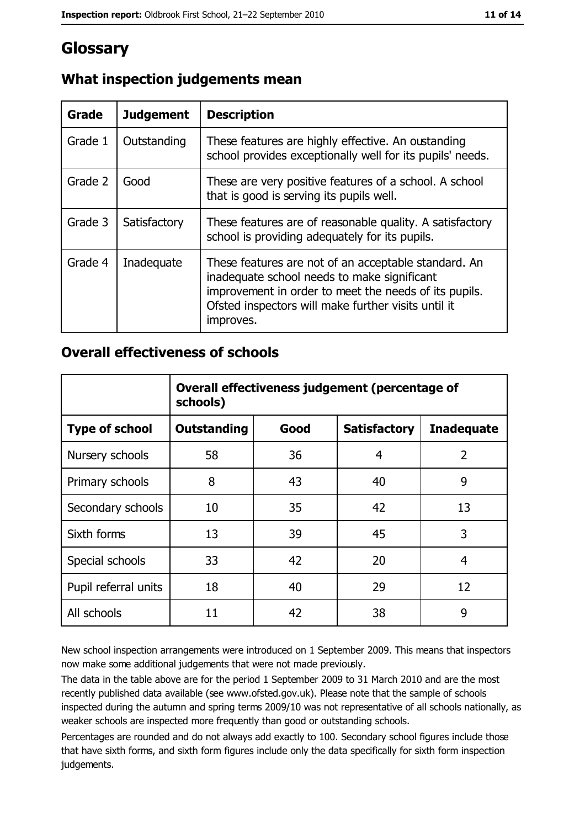# Glossary

| Grade   | <b>Judgement</b> | <b>Description</b>                                                                                                                                                                                                               |
|---------|------------------|----------------------------------------------------------------------------------------------------------------------------------------------------------------------------------------------------------------------------------|
| Grade 1 | Outstanding      | These features are highly effective. An oustanding<br>school provides exceptionally well for its pupils' needs.                                                                                                                  |
| Grade 2 | Good             | These are very positive features of a school. A school<br>that is good is serving its pupils well.                                                                                                                               |
| Grade 3 | Satisfactory     | These features are of reasonable quality. A satisfactory<br>school is providing adequately for its pupils.                                                                                                                       |
| Grade 4 | Inadequate       | These features are not of an acceptable standard. An<br>inadequate school needs to make significant<br>improvement in order to meet the needs of its pupils.<br>Ofsted inspectors will make further visits until it<br>improves. |

## What inspection judgements mean

## **Overall effectiveness of schools**

|                       | Overall effectiveness judgement (percentage of<br>schools) |      |                     |                   |
|-----------------------|------------------------------------------------------------|------|---------------------|-------------------|
| <b>Type of school</b> | <b>Outstanding</b>                                         | Good | <b>Satisfactory</b> | <b>Inadequate</b> |
| Nursery schools       | 58                                                         | 36   | 4                   | 2                 |
| Primary schools       | 8                                                          | 43   | 40                  | 9                 |
| Secondary schools     | 10                                                         | 35   | 42                  | 13                |
| Sixth forms           | 13                                                         | 39   | 45                  | 3                 |
| Special schools       | 33                                                         | 42   | 20                  | 4                 |
| Pupil referral units  | 18                                                         | 40   | 29                  | 12                |
| All schools           | 11                                                         | 42   | 38                  | 9                 |

New school inspection arrangements were introduced on 1 September 2009. This means that inspectors now make some additional judgements that were not made previously.

The data in the table above are for the period 1 September 2009 to 31 March 2010 and are the most recently published data available (see www.ofsted.gov.uk). Please note that the sample of schools inspected during the autumn and spring terms 2009/10 was not representative of all schools nationally, as weaker schools are inspected more frequently than good or outstanding schools.

Percentages are rounded and do not always add exactly to 100. Secondary school figures include those that have sixth forms, and sixth form figures include only the data specifically for sixth form inspection judgements.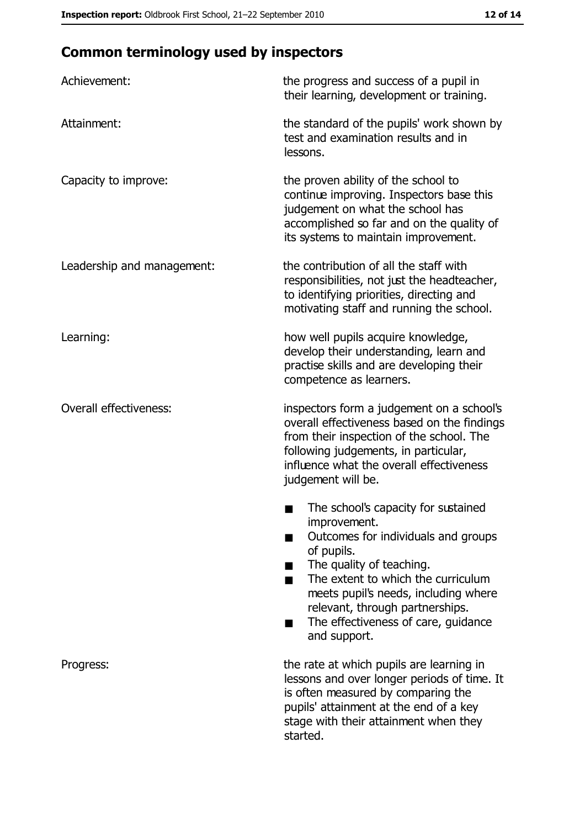# **Common terminology used by inspectors**

| Achievement:                  | the progress and success of a pupil in<br>their learning, development or training.                                                                                                                                                                                                                           |
|-------------------------------|--------------------------------------------------------------------------------------------------------------------------------------------------------------------------------------------------------------------------------------------------------------------------------------------------------------|
| Attainment:                   | the standard of the pupils' work shown by<br>test and examination results and in<br>lessons.                                                                                                                                                                                                                 |
| Capacity to improve:          | the proven ability of the school to<br>continue improving. Inspectors base this<br>judgement on what the school has<br>accomplished so far and on the quality of<br>its systems to maintain improvement.                                                                                                     |
| Leadership and management:    | the contribution of all the staff with<br>responsibilities, not just the headteacher,<br>to identifying priorities, directing and<br>motivating staff and running the school.                                                                                                                                |
| Learning:                     | how well pupils acquire knowledge,<br>develop their understanding, learn and<br>practise skills and are developing their<br>competence as learners.                                                                                                                                                          |
| <b>Overall effectiveness:</b> | inspectors form a judgement on a school's<br>overall effectiveness based on the findings<br>from their inspection of the school. The<br>following judgements, in particular,<br>influence what the overall effectiveness<br>judgement will be.                                                               |
|                               | The school's capacity for sustained<br>improvement.<br>Outcomes for individuals and groups<br>of pupils.<br>The quality of teaching.<br>The extent to which the curriculum<br>meets pupil's needs, including where<br>relevant, through partnerships.<br>The effectiveness of care, guidance<br>and support. |
| Progress:                     | the rate at which pupils are learning in<br>lessons and over longer periods of time. It<br>is often measured by comparing the<br>pupils' attainment at the end of a key<br>stage with their attainment when they<br>started.                                                                                 |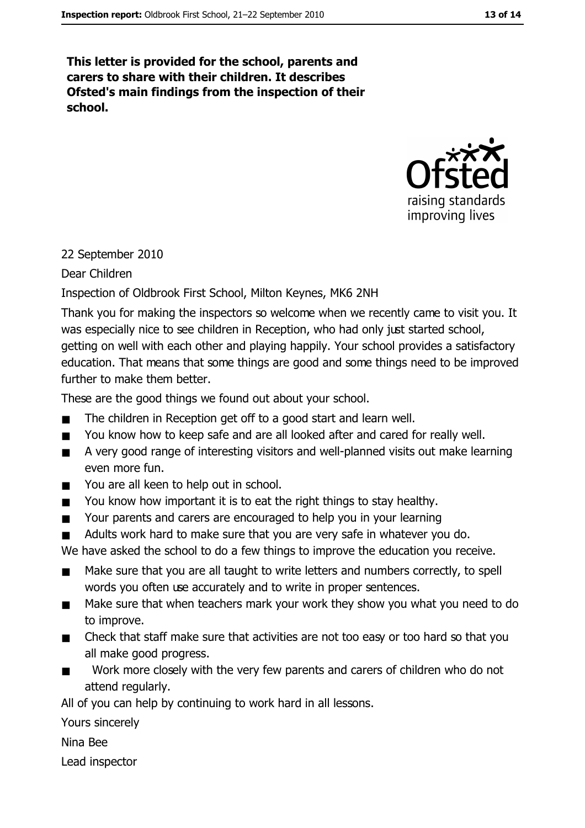This letter is provided for the school, parents and carers to share with their children. It describes Ofsted's main findings from the inspection of their school.



## 22 September 2010

Dear Children

## Inspection of Oldbrook First School, Milton Keynes, MK6 2NH

Thank you for making the inspectors so welcome when we recently came to visit you. It was especially nice to see children in Reception, who had only just started school, getting on well with each other and playing happily. Your school provides a satisfactory education. That means that some things are good and some things need to be improved further to make them better.

These are the good things we found out about your school.

- The children in Reception get off to a good start and learn well.  $\blacksquare$
- $\blacksquare$ You know how to keep safe and are all looked after and cared for really well.
- A very good range of interesting visitors and well-planned visits out make learning  $\blacksquare$ even more fun.
- You are all keen to help out in school.  $\blacksquare$
- You know how important it is to eat the right things to stay healthy.  $\blacksquare$
- Your parents and carers are encouraged to help you in your learning  $\blacksquare$
- Adults work hard to make sure that you are very safe in whatever you do.  $\blacksquare$

We have asked the school to do a few things to improve the education you receive.

- Make sure that you are all taught to write letters and numbers correctly, to spell  $\blacksquare$ words you often use accurately and to write in proper sentences.
- Make sure that when teachers mark your work they show you what you need to do  $\blacksquare$ to improve.
- Check that staff make sure that activities are not too easy or too hard so that you all make good progress.
- Work more closely with the very few parents and carers of children who do not  $\blacksquare$ attend regularly.

All of you can help by continuing to work hard in all lessons.

Yours sincerely

Nina Bee

Lead inspector